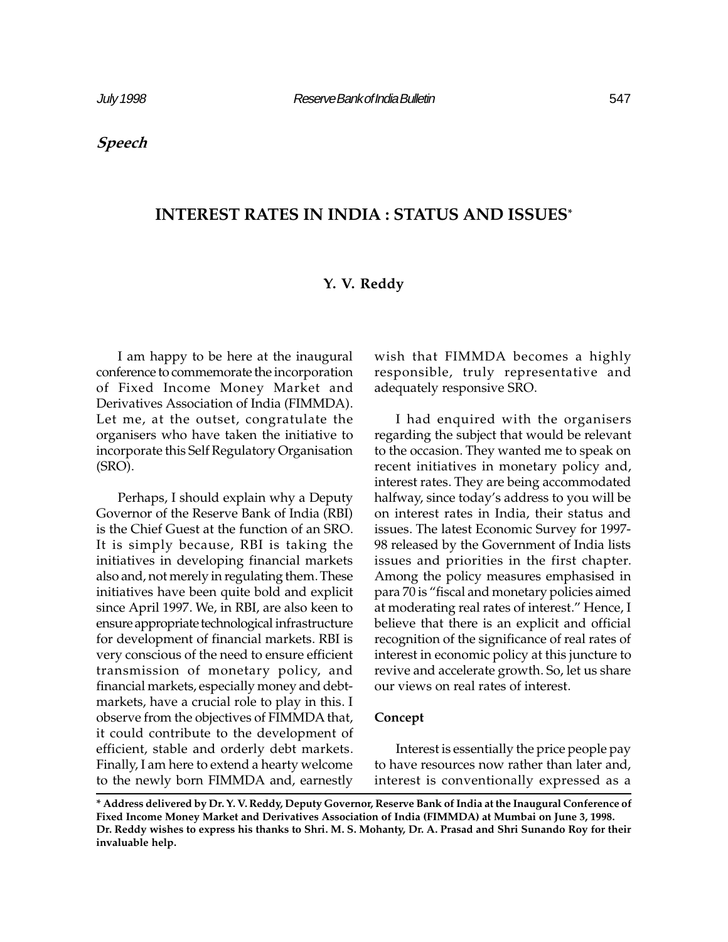# INTEREST RATES IN INDIA : STATUS AND ISSUES\*

# Y. V. Reddy

I am happy to be here at the inaugural conference to commemorate the incorporation of Fixed Income Money Market and Derivatives Association of India (FIMMDA). Let me, at the outset, congratulate the organisers who have taken the initiative to incorporate this Self Regulatory Organisation (SRO).

Perhaps, I should explain why a Deputy Governor of the Reserve Bank of India (RBI) is the Chief Guest at the function of an SRO. It is simply because, RBI is taking the initiatives in developing financial markets also and, not merely in regulating them. These initiatives have been quite bold and explicit since April 1997. We, in RBI, are also keen to ensure appropriate technological infrastructure for development of financial markets. RBI is very conscious of the need to ensure efficient transmission of monetary policy, and financial markets, especially money and debtmarkets, have a crucial role to play in this. I observe from the objectives of FIMMDA that, it could contribute to the development of efficient, stable and orderly debt markets. Finally, I am here to extend a hearty welcome to the newly born FIMMDA and, earnestly

wish that FIMMDA becomes a highly responsible, truly representative and adequately responsive SRO.

I had enquired with the organisers regarding the subject that would be relevant to the occasion. They wanted me to speak on recent initiatives in monetary policy and, interest rates. They are being accommodated halfway, since today's address to you will be on interest rates in India, their status and issues. The latest Economic Survey for 1997- 98 released by the Government of India lists issues and priorities in the first chapter. Among the policy measures emphasised in para 70 is "fiscal and monetary policies aimed at moderating real rates of interest." Hence, I believe that there is an explicit and official recognition of the significance of real rates of interest in economic policy at this juncture to revive and accelerate growth. So, let us share our views on real rates of interest.

## Concept

Interest is essentially the price people pay to have resources now rather than later and, interest is conventionally expressed as a

<sup>\*</sup> Address delivered by Dr. Y. V. Reddy, Deputy Governor, Reserve Bank of India at the Inaugural Conference of Fixed Income Money Market and Derivatives Association of India (FIMMDA) at Mumbai on June 3, 1998. Dr. Reddy wishes to express his thanks to Shri. M. S. Mohanty, Dr. A. Prasad and Shri Sunando Roy for their invaluable help.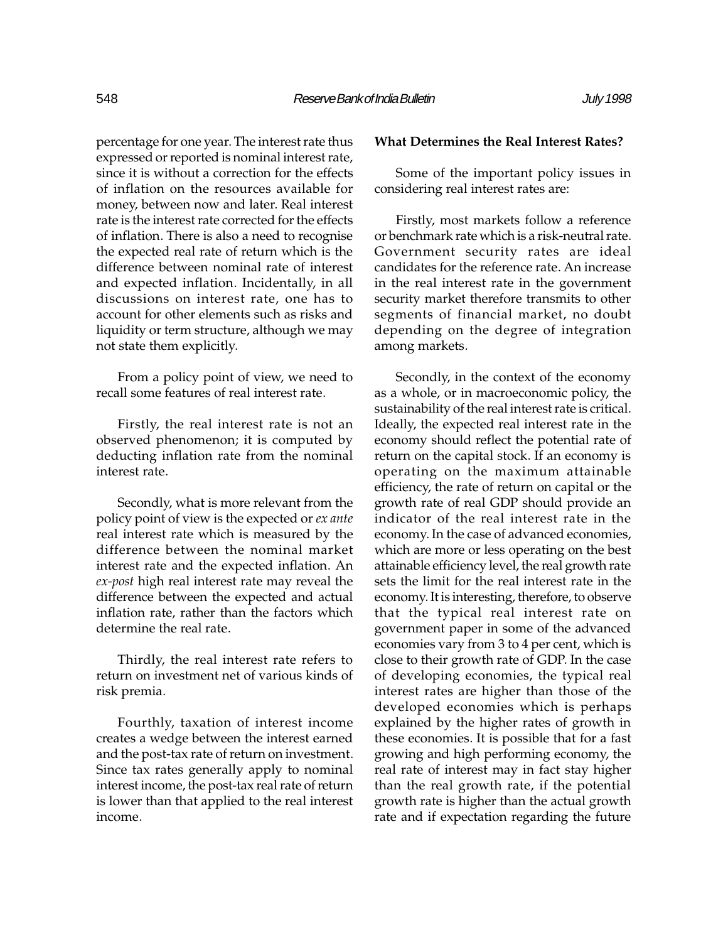percentage for one year. The interest rate thus expressed or reported is nominal interest rate, since it is without a correction for the effects of inflation on the resources available for money, between now and later. Real interest rate is the interest rate corrected for the effects of inflation. There is also a need to recognise the expected real rate of return which is the difference between nominal rate of interest and expected inflation. Incidentally, in all discussions on interest rate, one has to account for other elements such as risks and liquidity or term structure, although we may not state them explicitly.

From a policy point of view, we need to recall some features of real interest rate.

Firstly, the real interest rate is not an observed phenomenon; it is computed by deducting inflation rate from the nominal interest rate.

Secondly, what is more relevant from the policy point of view is the expected or ex ante real interest rate which is measured by the difference between the nominal market interest rate and the expected inflation. An ex-post high real interest rate may reveal the difference between the expected and actual inflation rate, rather than the factors which determine the real rate.

Thirdly, the real interest rate refers to return on investment net of various kinds of risk premia.

Fourthly, taxation of interest income creates a wedge between the interest earned and the post-tax rate of return on investment. Since tax rates generally apply to nominal interest income, the post-tax real rate of return is lower than that applied to the real interest income.

## What Determines the Real Interest Rates?

Some of the important policy issues in considering real interest rates are:

Firstly, most markets follow a reference or benchmark rate which is a risk-neutral rate. Government security rates are ideal candidates for the reference rate. An increase in the real interest rate in the government security market therefore transmits to other segments of financial market, no doubt depending on the degree of integration among markets.

Secondly, in the context of the economy as a whole, or in macroeconomic policy, the sustainability of the real interest rate is critical. Ideally, the expected real interest rate in the economy should reflect the potential rate of return on the capital stock. If an economy is operating on the maximum attainable efficiency, the rate of return on capital or the growth rate of real GDP should provide an indicator of the real interest rate in the economy. In the case of advanced economies, which are more or less operating on the best attainable efficiency level, the real growth rate sets the limit for the real interest rate in the economy. It is interesting, therefore, to observe that the typical real interest rate on government paper in some of the advanced economies vary from 3 to 4 per cent, which is close to their growth rate of GDP. In the case of developing economies, the typical real interest rates are higher than those of the developed economies which is perhaps explained by the higher rates of growth in these economies. It is possible that for a fast growing and high performing economy, the real rate of interest may in fact stay higher than the real growth rate, if the potential growth rate is higher than the actual growth rate and if expectation regarding the future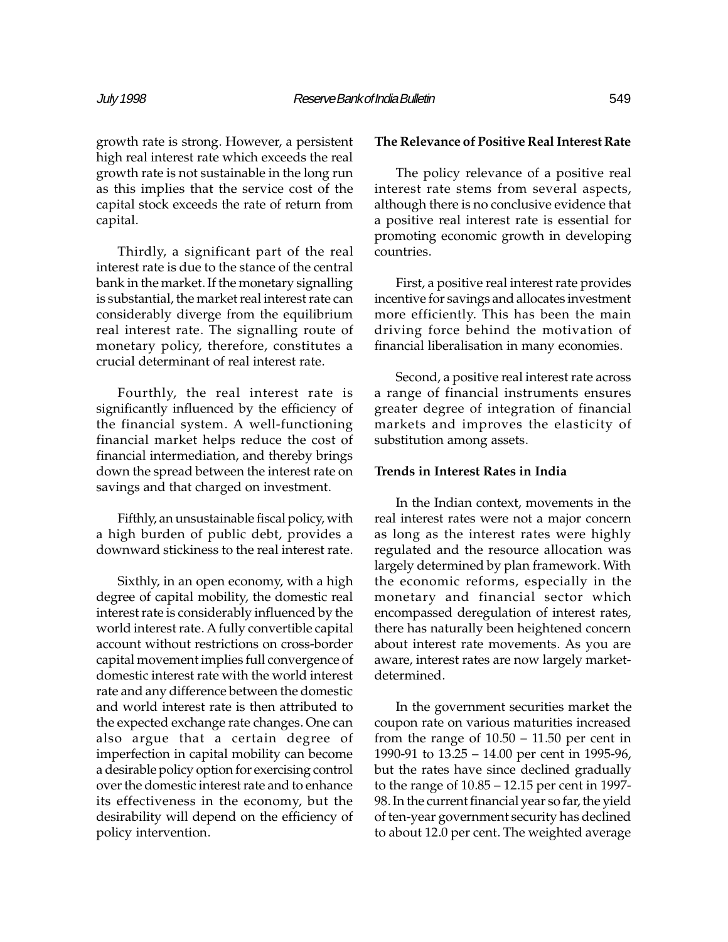growth rate is strong. However, a persistent high real interest rate which exceeds the real growth rate is not sustainable in the long run as this implies that the service cost of the capital stock exceeds the rate of return from capital.

Thirdly, a significant part of the real interest rate is due to the stance of the central bank in the market. If the monetary signalling is substantial, the market real interest rate can considerably diverge from the equilibrium real interest rate. The signalling route of monetary policy, therefore, constitutes a crucial determinant of real interest rate.

Fourthly, the real interest rate is significantly influenced by the efficiency of the financial system. A well-functioning financial market helps reduce the cost of financial intermediation, and thereby brings down the spread between the interest rate on savings and that charged on investment.

Fifthly, an unsustainable fiscal policy, with a high burden of public debt, provides a downward stickiness to the real interest rate.

Sixthly, in an open economy, with a high degree of capital mobility, the domestic real interest rate is considerably influenced by the world interest rate. A fully convertible capital account without restrictions on cross-border capital movement implies full convergence of domestic interest rate with the world interest rate and any difference between the domestic and world interest rate is then attributed to the expected exchange rate changes. One can also argue that a certain degree of imperfection in capital mobility can become a desirable policy option for exercising control over the domestic interest rate and to enhance its effectiveness in the economy, but the desirability will depend on the efficiency of policy intervention.

## The Relevance of Positive Real Interest Rate

The policy relevance of a positive real interest rate stems from several aspects, although there is no conclusive evidence that a positive real interest rate is essential for promoting economic growth in developing countries.

First, a positive real interest rate provides incentive for savings and allocates investment more efficiently. This has been the main driving force behind the motivation of financial liberalisation in many economies.

Second, a positive real interest rate across a range of financial instruments ensures greater degree of integration of financial markets and improves the elasticity of substitution among assets.

### Trends in Interest Rates in India

In the Indian context, movements in the real interest rates were not a major concern as long as the interest rates were highly regulated and the resource allocation was largely determined by plan framework. With the economic reforms, especially in the monetary and financial sector which encompassed deregulation of interest rates, there has naturally been heightened concern about interest rate movements. As you are aware, interest rates are now largely marketdetermined.

In the government securities market the coupon rate on various maturities increased from the range of  $10.50 - 11.50$  per cent in 1990-91 to  $13.25 - 14.00$  per cent in 1995-96, but the rates have since declined gradually to the range of  $10.85 - 12.15$  per cent in 1997-98. In the current financial year so far, the yield of ten-year government security has declined to about 12.0 per cent. The weighted average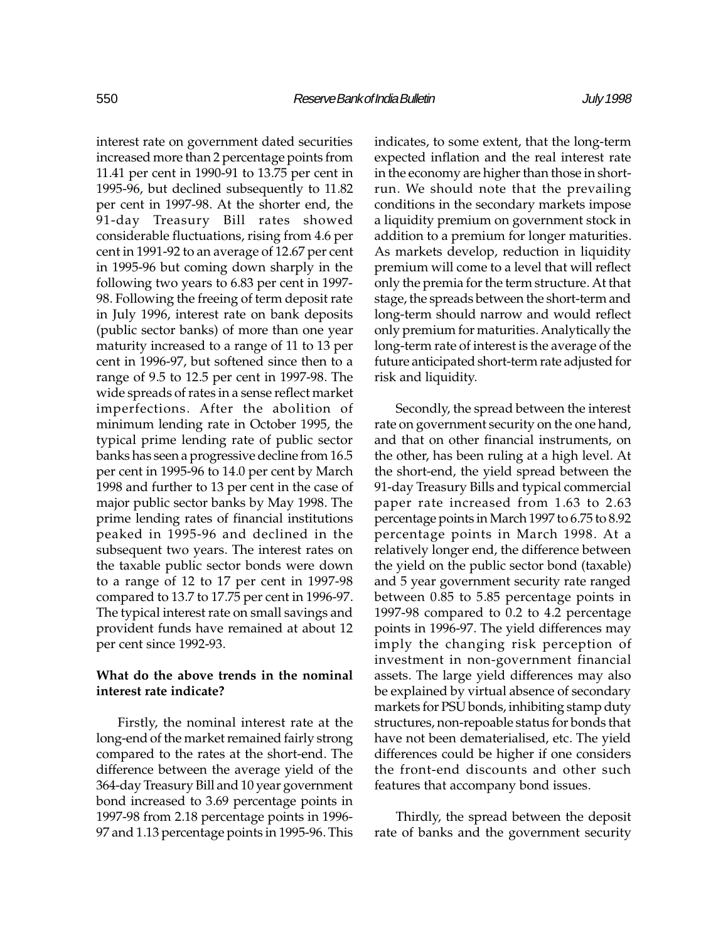interest rate on government dated securities increased more than 2 percentage points from 11.41 per cent in 1990-91 to 13.75 per cent in 1995-96, but declined subsequently to 11.82 per cent in 1997-98. At the shorter end, the 91-day Treasury Bill rates showed considerable fluctuations, rising from 4.6 per cent in 1991-92 to an average of 12.67 per cent in 1995-96 but coming down sharply in the following two years to 6.83 per cent in 1997- 98. Following the freeing of term deposit rate in July 1996, interest rate on bank deposits (public sector banks) of more than one year maturity increased to a range of 11 to 13 per cent in 1996-97, but softened since then to a range of 9.5 to 12.5 per cent in 1997-98. The wide spreads of rates in a sense reflect market imperfections. After the abolition of minimum lending rate in October 1995, the typical prime lending rate of public sector banks has seen a progressive decline from 16.5 per cent in 1995-96 to 14.0 per cent by March 1998 and further to 13 per cent in the case of major public sector banks by May 1998. The prime lending rates of financial institutions peaked in 1995-96 and declined in the subsequent two years. The interest rates on the taxable public sector bonds were down to a range of 12 to 17 per cent in 1997-98 compared to 13.7 to 17.75 per cent in 1996-97. The typical interest rate on small savings and provident funds have remained at about 12 per cent since 1992-93.

# What do the above trends in the nominal interest rate indicate?

Firstly, the nominal interest rate at the long-end of the market remained fairly strong compared to the rates at the short-end. The difference between the average yield of the 364-day Treasury Bill and 10 year government bond increased to 3.69 percentage points in 1997-98 from 2.18 percentage points in 1996- 97 and 1.13 percentage points in 1995-96. This indicates, to some extent, that the long-term expected inflation and the real interest rate in the economy are higher than those in shortrun. We should note that the prevailing conditions in the secondary markets impose a liquidity premium on government stock in addition to a premium for longer maturities. As markets develop, reduction in liquidity premium will come to a level that will reflect only the premia for the term structure. At that stage, the spreads between the short-term and long-term should narrow and would reflect only premium for maturities. Analytically the long-term rate of interest is the average of the future anticipated short-term rate adjusted for risk and liquidity.

Secondly, the spread between the interest rate on government security on the one hand, and that on other financial instruments, on the other, has been ruling at a high level. At the short-end, the yield spread between the 91-day Treasury Bills and typical commercial paper rate increased from 1.63 to 2.63 percentage points in March 1997 to 6.75 to 8.92 percentage points in March 1998. At a relatively longer end, the difference between the yield on the public sector bond (taxable) and 5 year government security rate ranged between 0.85 to 5.85 percentage points in 1997-98 compared to 0.2 to 4.2 percentage points in 1996-97. The yield differences may imply the changing risk perception of investment in non-government financial assets. The large yield differences may also be explained by virtual absence of secondary markets for PSU bonds, inhibiting stamp duty structures, non-repoable status for bonds that have not been dematerialised, etc. The yield differences could be higher if one considers the front-end discounts and other such features that accompany bond issues.

Thirdly, the spread between the deposit rate of banks and the government security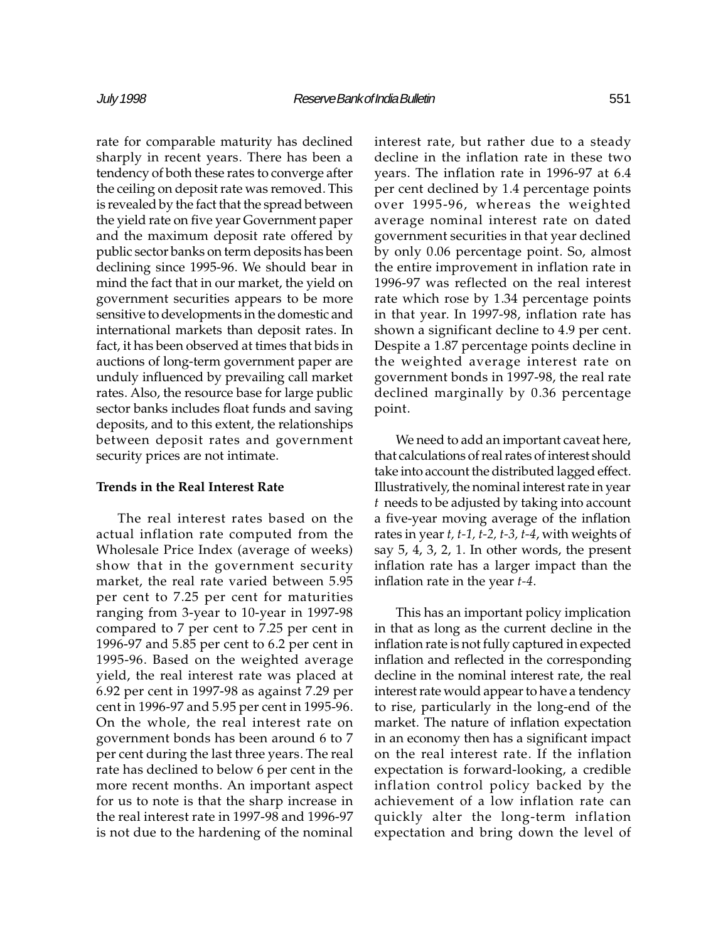rate for comparable maturity has declined sharply in recent years. There has been a tendency of both these rates to converge after the ceiling on deposit rate was removed. This is revealed by the fact that the spread between the yield rate on five year Government paper and the maximum deposit rate offered by public sector banks on term deposits has been declining since 1995-96. We should bear in mind the fact that in our market, the yield on government securities appears to be more sensitive to developments in the domestic and international markets than deposit rates. In fact, it has been observed at times that bids in auctions of long-term government paper are unduly influenced by prevailing call market rates. Also, the resource base for large public sector banks includes float funds and saving deposits, and to this extent, the relationships between deposit rates and government security prices are not intimate.

### Trends in the Real Interest Rate

The real interest rates based on the actual inflation rate computed from the Wholesale Price Index (average of weeks) show that in the government security market, the real rate varied between 5.95 per cent to 7.25 per cent for maturities ranging from 3-year to 10-year in 1997-98 compared to 7 per cent to 7.25 per cent in 1996-97 and 5.85 per cent to 6.2 per cent in 1995-96. Based on the weighted average yield, the real interest rate was placed at 6.92 per cent in 1997-98 as against 7.29 per cent in 1996-97 and 5.95 per cent in 1995-96. On the whole, the real interest rate on government bonds has been around 6 to 7 per cent during the last three years. The real rate has declined to below 6 per cent in the more recent months. An important aspect for us to note is that the sharp increase in the real interest rate in 1997-98 and 1996-97 is not due to the hardening of the nominal

interest rate, but rather due to a steady decline in the inflation rate in these two years. The inflation rate in 1996-97 at 6.4 per cent declined by 1.4 percentage points over 1995-96, whereas the weighted average nominal interest rate on dated government securities in that year declined by only 0.06 percentage point. So, almost the entire improvement in inflation rate in 1996-97 was reflected on the real interest rate which rose by 1.34 percentage points in that year. In 1997-98, inflation rate has shown a significant decline to 4.9 per cent. Despite a 1.87 percentage points decline in the weighted average interest rate on government bonds in 1997-98, the real rate declined marginally by 0.36 percentage point.

We need to add an important caveat here, that calculations of real rates of interest should take into account the distributed lagged effect. Illustratively, the nominal interest rate in year t needs to be adjusted by taking into account a five-year moving average of the inflation rates in year  $t$ ,  $t$ -1,  $t$ -2,  $t$ -3,  $t$ -4, with weights of say 5, 4, 3, 2, 1. In other words, the present inflation rate has a larger impact than the inflation rate in the year t-4.

This has an important policy implication in that as long as the current decline in the inflation rate is not fully captured in expected inflation and reflected in the corresponding decline in the nominal interest rate, the real interest rate would appear to have a tendency to rise, particularly in the long-end of the market. The nature of inflation expectation in an economy then has a significant impact on the real interest rate. If the inflation expectation is forward-looking, a credible inflation control policy backed by the achievement of a low inflation rate can quickly alter the long-term inflation expectation and bring down the level of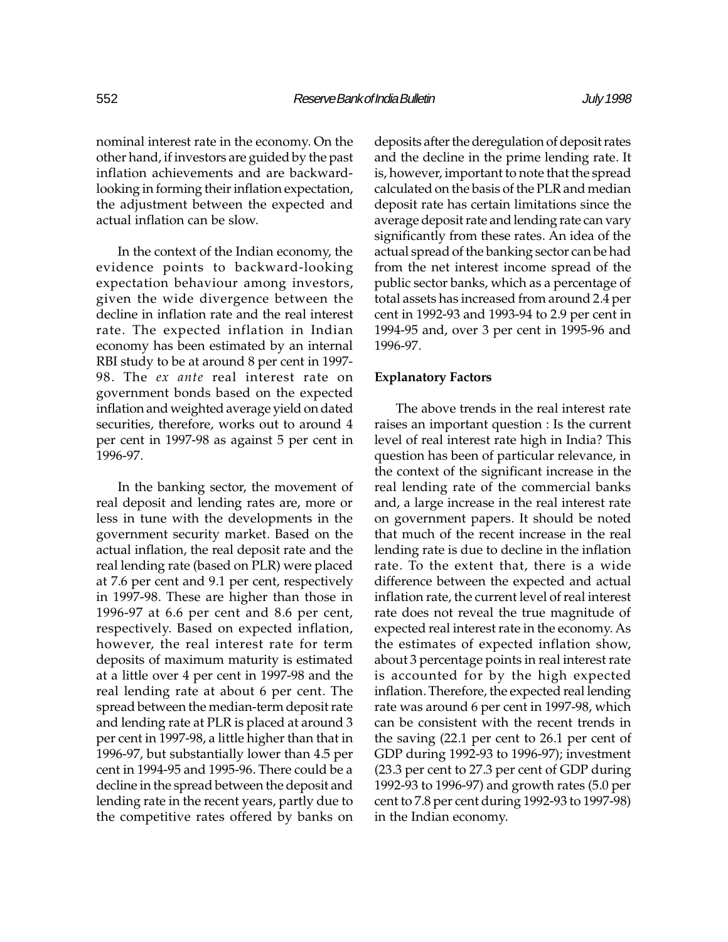nominal interest rate in the economy. On the other hand, if investors are guided by the past inflation achievements and are backwardlooking in forming their inflation expectation, the adjustment between the expected and actual inflation can be slow.

In the context of the Indian economy, the evidence points to backward-looking expectation behaviour among investors, given the wide divergence between the decline in inflation rate and the real interest rate. The expected inflation in Indian economy has been estimated by an internal RBI study to be at around 8 per cent in 1997- 98. The ex ante real interest rate on government bonds based on the expected inflation and weighted average yield on dated securities, therefore, works out to around 4 per cent in 1997-98 as against 5 per cent in 1996-97.

In the banking sector, the movement of real deposit and lending rates are, more or less in tune with the developments in the government security market. Based on the actual inflation, the real deposit rate and the real lending rate (based on PLR) were placed at 7.6 per cent and 9.1 per cent, respectively in 1997-98. These are higher than those in 1996-97 at 6.6 per cent and 8.6 per cent, respectively. Based on expected inflation, however, the real interest rate for term deposits of maximum maturity is estimated at a little over 4 per cent in 1997-98 and the real lending rate at about 6 per cent. The spread between the median-term deposit rate and lending rate at PLR is placed at around 3 per cent in 1997-98, a little higher than that in 1996-97, but substantially lower than 4.5 per cent in 1994-95 and 1995-96. There could be a decline in the spread between the deposit and lending rate in the recent years, partly due to the competitive rates offered by banks on

deposits after the deregulation of deposit rates and the decline in the prime lending rate. It is, however, important to note that the spread calculated on the basis of the PLR and median deposit rate has certain limitations since the average deposit rate and lending rate can vary significantly from these rates. An idea of the actual spread of the banking sector can be had from the net interest income spread of the public sector banks, which as a percentage of total assets has increased from around 2.4 per cent in 1992-93 and 1993-94 to 2.9 per cent in 1994-95 and, over 3 per cent in 1995-96 and 1996-97.

### Explanatory Factors

The above trends in the real interest rate raises an important question : Is the current level of real interest rate high in India? This question has been of particular relevance, in the context of the significant increase in the real lending rate of the commercial banks and, a large increase in the real interest rate on government papers. It should be noted that much of the recent increase in the real lending rate is due to decline in the inflation rate. To the extent that, there is a wide difference between the expected and actual inflation rate, the current level of real interest rate does not reveal the true magnitude of expected real interest rate in the economy. As the estimates of expected inflation show, about 3 percentage points in real interest rate is accounted for by the high expected inflation. Therefore, the expected real lending rate was around 6 per cent in 1997-98, which can be consistent with the recent trends in the saving (22.1 per cent to 26.1 per cent of GDP during 1992-93 to 1996-97); investment (23.3 per cent to 27.3 per cent of GDP during 1992-93 to 1996-97) and growth rates (5.0 per cent to 7.8 per cent during 1992-93 to 1997-98) in the Indian economy.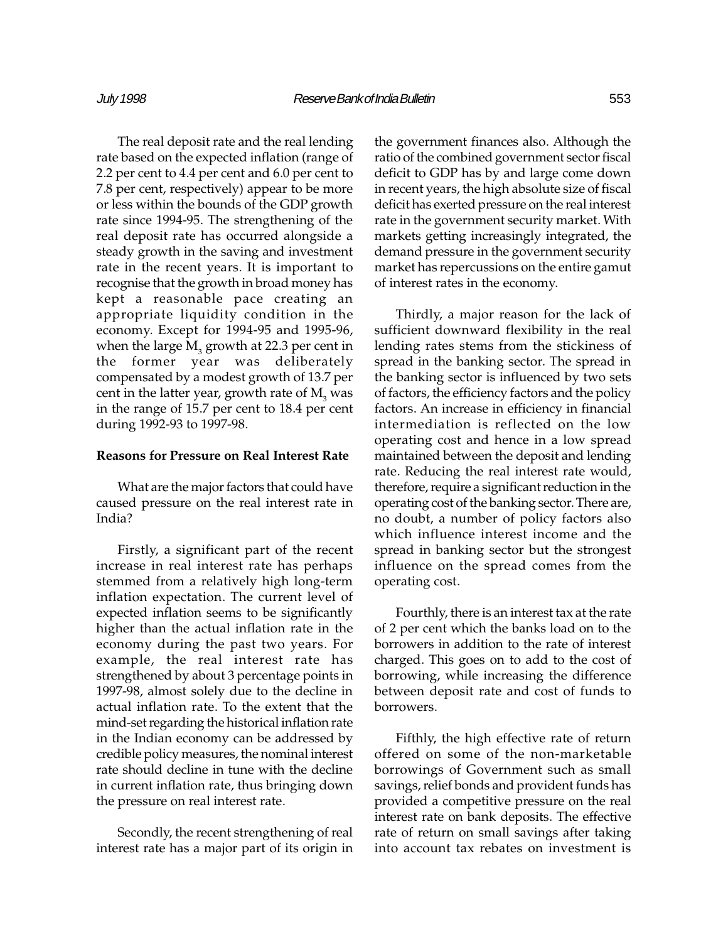The real deposit rate and the real lending rate based on the expected inflation (range of 2.2 per cent to 4.4 per cent and 6.0 per cent to 7.8 per cent, respectively) appear to be more or less within the bounds of the GDP growth rate since 1994-95. The strengthening of the real deposit rate has occurred alongside a steady growth in the saving and investment rate in the recent years. It is important to recognise that the growth in broad money has kept a reasonable pace creating an appropriate liquidity condition in the economy. Except for 1994-95 and 1995-96, when the large  $\mathrm{M}_3^{}$  growth at 22.3 per cent in the former year was deliberately compensated by a modest growth of 13.7 per cent in the latter year, growth rate of  $\mathrm{M}_3^{\mathrm{}}$  was in the range of 15.7 per cent to 18.4 per cent during 1992-93 to 1997-98.

#### Reasons for Pressure on Real Interest Rate

What are the major factors that could have caused pressure on the real interest rate in India?

Firstly, a significant part of the recent increase in real interest rate has perhaps stemmed from a relatively high long-term inflation expectation. The current level of expected inflation seems to be significantly higher than the actual inflation rate in the economy during the past two years. For example, the real interest rate has strengthened by about 3 percentage points in 1997-98, almost solely due to the decline in actual inflation rate. To the extent that the mind-set regarding the historical inflation rate in the Indian economy can be addressed by credible policy measures, the nominal interest rate should decline in tune with the decline in current inflation rate, thus bringing down the pressure on real interest rate.

Secondly, the recent strengthening of real interest rate has a major part of its origin in the government finances also. Although the ratio of the combined government sector fiscal deficit to GDP has by and large come down in recent years, the high absolute size of fiscal deficit has exerted pressure on the real interest rate in the government security market. With markets getting increasingly integrated, the demand pressure in the government security market has repercussions on the entire gamut of interest rates in the economy.

Thirdly, a major reason for the lack of sufficient downward flexibility in the real lending rates stems from the stickiness of spread in the banking sector. The spread in the banking sector is influenced by two sets of factors, the efficiency factors and the policy factors. An increase in efficiency in financial intermediation is reflected on the low operating cost and hence in a low spread maintained between the deposit and lending rate. Reducing the real interest rate would, therefore, require a significant reduction in the operating cost of the banking sector. There are, no doubt, a number of policy factors also which influence interest income and the spread in banking sector but the strongest influence on the spread comes from the operating cost.

Fourthly, there is an interest tax at the rate of 2 per cent which the banks load on to the borrowers in addition to the rate of interest charged. This goes on to add to the cost of borrowing, while increasing the difference between deposit rate and cost of funds to borrowers.

Fifthly, the high effective rate of return offered on some of the non-marketable borrowings of Government such as small savings, relief bonds and provident funds has provided a competitive pressure on the real interest rate on bank deposits. The effective rate of return on small savings after taking into account tax rebates on investment is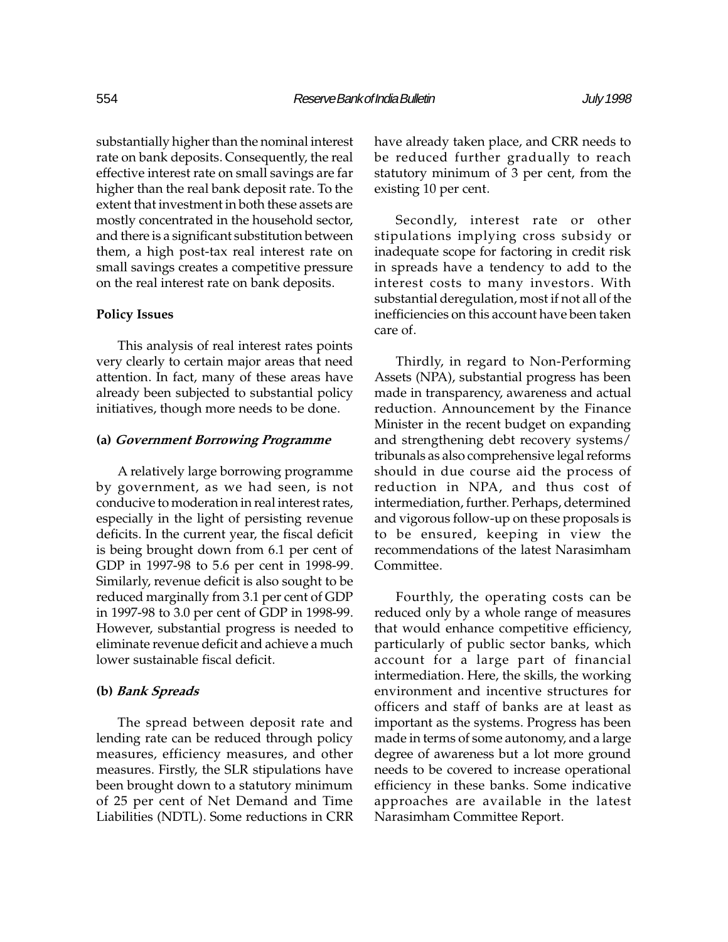substantially higher than the nominal interest rate on bank deposits. Consequently, the real effective interest rate on small savings are far higher than the real bank deposit rate. To the extent that investment in both these assets are mostly concentrated in the household sector, and there is a significant substitution between them, a high post-tax real interest rate on small savings creates a competitive pressure on the real interest rate on bank deposits.

### Policy Issues

This analysis of real interest rates points very clearly to certain major areas that need attention. In fact, many of these areas have already been subjected to substantial policy initiatives, though more needs to be done.

## (a) Government Borrowing Programme

A relatively large borrowing programme by government, as we had seen, is not conducive to moderation in real interest rates, especially in the light of persisting revenue deficits. In the current year, the fiscal deficit is being brought down from 6.1 per cent of GDP in 1997-98 to 5.6 per cent in 1998-99. Similarly, revenue deficit is also sought to be reduced marginally from 3.1 per cent of GDP in 1997-98 to 3.0 per cent of GDP in 1998-99. However, substantial progress is needed to eliminate revenue deficit and achieve a much lower sustainable fiscal deficit.

### (b) Bank Spreads

The spread between deposit rate and lending rate can be reduced through policy measures, efficiency measures, and other measures. Firstly, the SLR stipulations have been brought down to a statutory minimum of 25 per cent of Net Demand and Time Liabilities (NDTL). Some reductions in CRR have already taken place, and CRR needs to be reduced further gradually to reach statutory minimum of 3 per cent, from the existing 10 per cent.

Secondly, interest rate or other stipulations implying cross subsidy or inadequate scope for factoring in credit risk in spreads have a tendency to add to the interest costs to many investors. With substantial deregulation, most if not all of the inefficiencies on this account have been taken care of.

Thirdly, in regard to Non-Performing Assets (NPA), substantial progress has been made in transparency, awareness and actual reduction. Announcement by the Finance Minister in the recent budget on expanding and strengthening debt recovery systems/ tribunals as also comprehensive legal reforms should in due course aid the process of reduction in NPA, and thus cost of intermediation, further. Perhaps, determined and vigorous follow-up on these proposals is to be ensured, keeping in view the recommendations of the latest Narasimham Committee.

Fourthly, the operating costs can be reduced only by a whole range of measures that would enhance competitive efficiency, particularly of public sector banks, which account for a large part of financial intermediation. Here, the skills, the working environment and incentive structures for officers and staff of banks are at least as important as the systems. Progress has been made in terms of some autonomy, and a large degree of awareness but a lot more ground needs to be covered to increase operational efficiency in these banks. Some indicative approaches are available in the latest Narasimham Committee Report.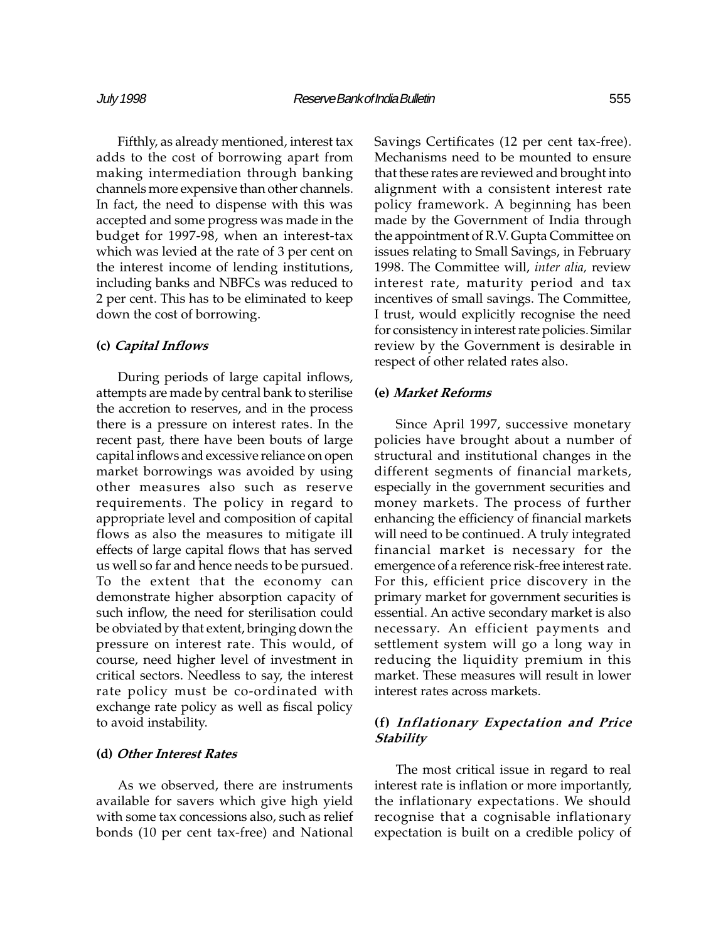Fifthly, as already mentioned, interest tax adds to the cost of borrowing apart from making intermediation through banking channels more expensive than other channels. In fact, the need to dispense with this was accepted and some progress was made in the budget for 1997-98, when an interest-tax which was levied at the rate of 3 per cent on the interest income of lending institutions, including banks and NBFCs was reduced to 2 per cent. This has to be eliminated to keep down the cost of borrowing.

## (c) Capital Inflows

During periods of large capital inflows, attempts are made by central bank to sterilise the accretion to reserves, and in the process there is a pressure on interest rates. In the recent past, there have been bouts of large capital inflows and excessive reliance on open market borrowings was avoided by using other measures also such as reserve requirements. The policy in regard to appropriate level and composition of capital flows as also the measures to mitigate ill effects of large capital flows that has served us well so far and hence needs to be pursued. To the extent that the economy can demonstrate higher absorption capacity of such inflow, the need for sterilisation could be obviated by that extent, bringing down the pressure on interest rate. This would, of course, need higher level of investment in critical sectors. Needless to say, the interest rate policy must be co-ordinated with exchange rate policy as well as fiscal policy to avoid instability.

## (d) Other Interest Rates

As we observed, there are instruments available for savers which give high yield with some tax concessions also, such as relief bonds (10 per cent tax-free) and National

Savings Certificates (12 per cent tax-free). Mechanisms need to be mounted to ensure that these rates are reviewed and brought into alignment with a consistent interest rate policy framework. A beginning has been made by the Government of India through the appointment of R.V. Gupta Committee on issues relating to Small Savings, in February 1998. The Committee will, inter alia, review interest rate, maturity period and tax incentives of small savings. The Committee, I trust, would explicitly recognise the need for consistency in interest rate policies. Similar review by the Government is desirable in respect of other related rates also.

## (e) Market Reforms

Since April 1997, successive monetary policies have brought about a number of structural and institutional changes in the different segments of financial markets, especially in the government securities and money markets. The process of further enhancing the efficiency of financial markets will need to be continued. A truly integrated financial market is necessary for the emergence of a reference risk-free interest rate. For this, efficient price discovery in the primary market for government securities is essential. An active secondary market is also necessary. An efficient payments and settlement system will go a long way in reducing the liquidity premium in this market. These measures will result in lower interest rates across markets.

# (f) Inflationary Expectation and Price **Stability**

The most critical issue in regard to real interest rate is inflation or more importantly, the inflationary expectations. We should recognise that a cognisable inflationary expectation is built on a credible policy of